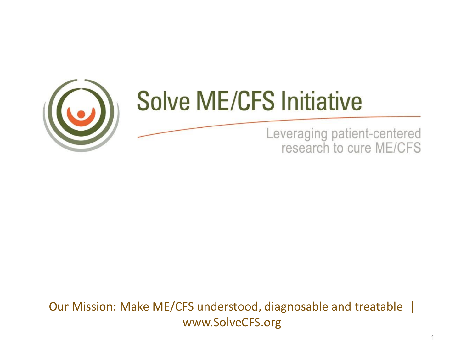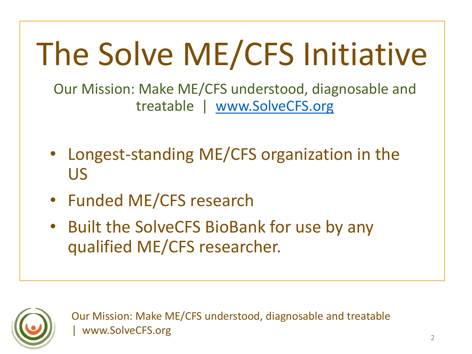# The Solve ME/CFS Initiative

Our Mission: Make ME/CFS understood, diagnosable and treatable | [www.SolveCFS.org](http://www.solvecfs.org/)

- Longest-standing ME/CFS organization in the US
- Funded ME/CFS research
- Built the SolveCFS BioBank for use by any qualified ME/CFS researcher.

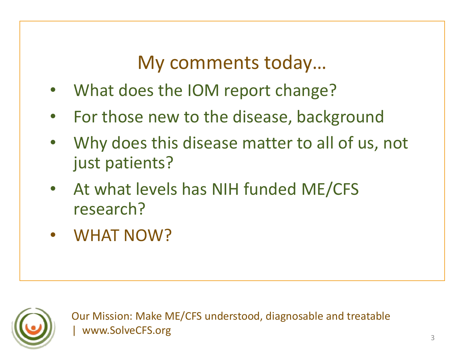My comments today…

- What does the IOM report change?
- For those new to the disease, background
- Why does this disease matter to all of us, not just patients?
- At what levels has NIH funded ME/CFS research?
- WHAT NOW?

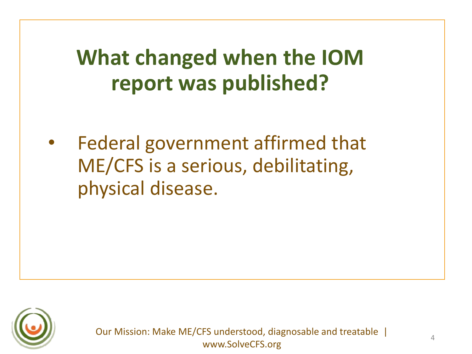# **What changed when the IOM report was published?**

Federal government affirmed that ME/CFS is a serious, debilitating, physical disease.

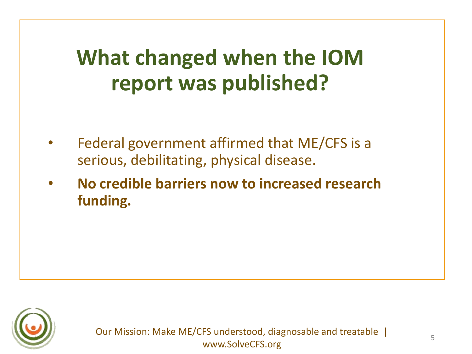# **What changed when the IOM report was published?**

- Federal government affirmed that ME/CFS is a serious, debilitating, physical disease.
- **No credible barriers now to increased research funding.**

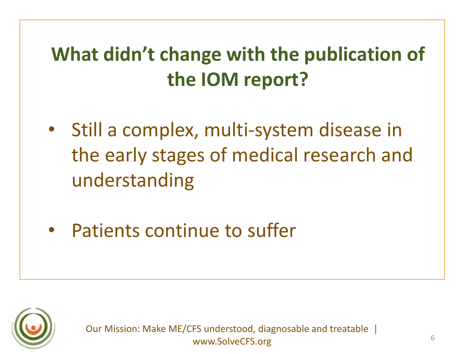# **What didn't change with the publication of the IOM report?**

- Still a complex, multi-system disease in the early stages of medical research and understanding
- Patients continue to suffer

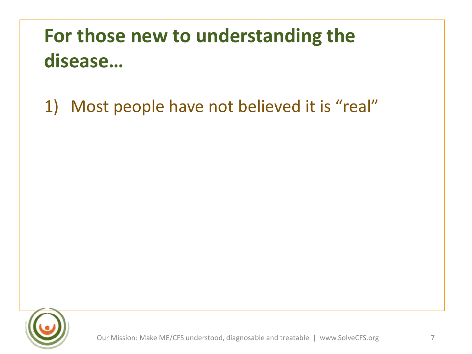1) Most people have not believed it is "real"

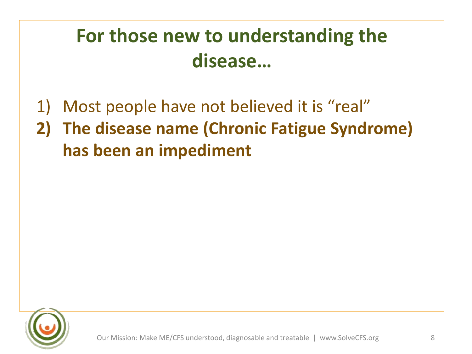1) Most people have not believed it is "real" **2) The disease name (Chronic Fatigue Syndrome) has been an impediment**

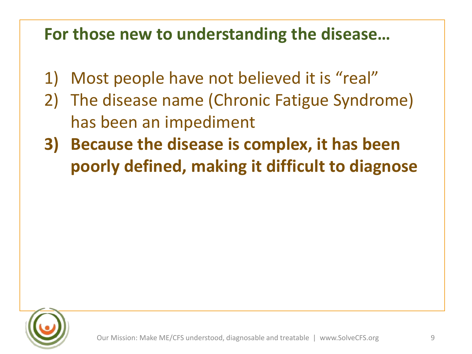- 1) Most people have not believed it is "real"
- 2) The disease name (Chronic Fatigue Syndrome) has been an impediment
- **3) Because the disease is complex, it has been poorly defined, making it difficult to diagnose**

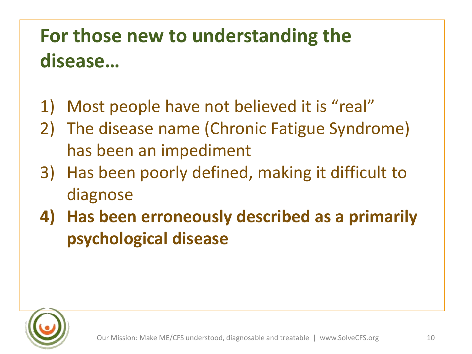- 1) Most people have not believed it is "real"
- 2) The disease name (Chronic Fatigue Syndrome) has been an impediment
- 3) Has been poorly defined, making it difficult to diagnose
- **4) Has been erroneously described as a primarily psychological disease**

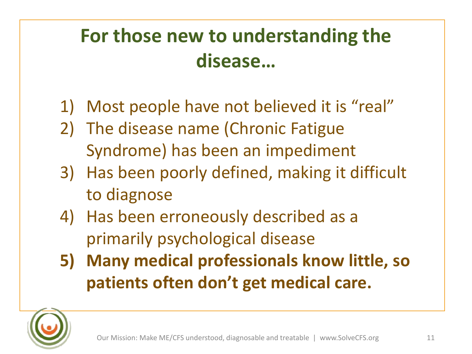- 1) Most people have not believed it is "real"
- 2) The disease name (Chronic Fatigue Syndrome) has been an impediment
- 3) Has been poorly defined, making it difficult to diagnose
- 4) Has been erroneously described as a primarily psychological disease
- **5) Many medical professionals know little, so patients often don't get medical care.**

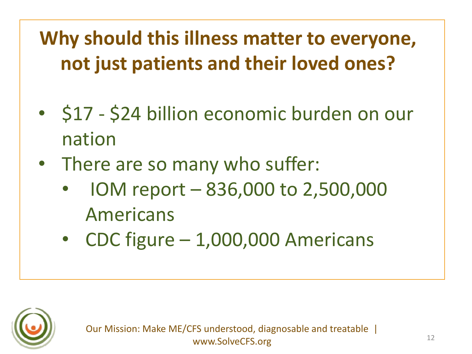**Why should this illness matter to everyone, not just patients and their loved ones?**

- \$17 \$24 billion economic burden on our nation
- There are so many who suffer:
	- IOM report 836,000 to 2,500,000 Americans
	- CDC figure 1,000,000 Americans

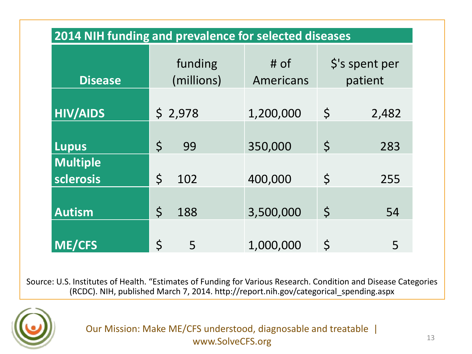| 2014 NIH funding and prevalence for selected diseases |                       |                     |                                       |  |
|-------------------------------------------------------|-----------------------|---------------------|---------------------------------------|--|
| <b>Disease</b>                                        | funding<br>(millions) | $#$ of<br>Americans | $\frac{1}{2}$ 's spent per<br>patient |  |
| <b>HIV/AIDS</b>                                       | \$2,978               | 1,200,000           | \$<br>2,482                           |  |
| <b>Lupus</b>                                          | $\zeta$<br>99         | 350,000             | $\zeta$<br>283                        |  |
| <b>Multiple</b><br>sclerosis                          | $\zeta$<br>102        | 400,000             | \$<br>255                             |  |
| <b>Autism</b>                                         | \$<br>188             | 3,500,000           | $\varsigma$<br>54                     |  |
| <b>ME/CFS</b>                                         | $\mathsf{S}$<br>5     | 1,000,000           | $\zeta$<br>5                          |  |

Source: U.S. Institutes of Health. "Estimates of Funding for Various Research. Condition and Disease Categories (RCDC). NIH, published March 7, 2014. http://report.nih.gov/categorical\_spending.aspx

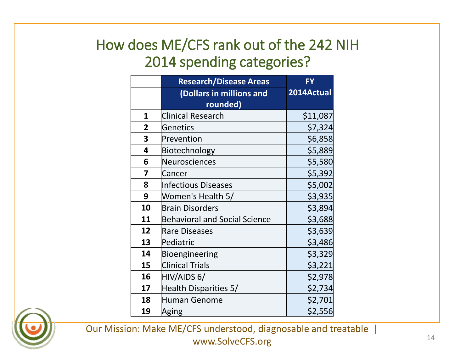|                | <b>Research/Disease Areas</b>        | <b>FY</b>  |
|----------------|--------------------------------------|------------|
|                | (Dollars in millions and             | 2014Actual |
|                | rounded)                             |            |
| 1              | <b>Clinical Research</b>             | \$11,087   |
| $\overline{2}$ | Genetics                             | \$7,324    |
| 3              | Prevention                           | \$6,858    |
| 4              | Biotechnology                        | \$5,889    |
| 6              | Neurosciences                        | \$5,580    |
| 7              | Cancer                               | \$5,392    |
| 8              | Infectious Diseases                  | \$5,002    |
| 9              | Women's Health 5/                    | \$3,935    |
| 10             | <b>Brain Disorders</b>               | \$3,894    |
| 11             | <b>Behavioral and Social Science</b> | \$3,688    |
| 12             | <b>Rare Diseases</b>                 | \$3,639    |
| 13             | Pediatric                            | \$3,486    |
| 14             | Bioengineering                       | \$3,329    |
| 15             | <b>Clinical Trials</b>               | \$3,221    |
| 16             | HIV/AIDS 6/                          | \$2,978    |
| 17             | Health Disparities 5/                | \$2,734    |
| 18             | <b>Human Genome</b>                  | \$2,701    |
| 19             | Aging                                | \$2,556    |

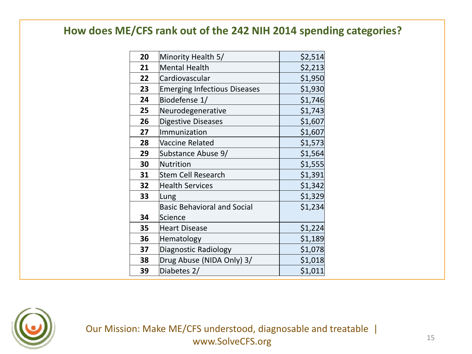| 20 | Minority Health 5/                  | \$2,514 |
|----|-------------------------------------|---------|
| 21 | <b>Mental Health</b>                | \$2,213 |
| 22 | Cardiovascular                      | \$1,950 |
| 23 | <b>Emerging Infectious Diseases</b> | \$1,930 |
| 24 | Biodefense 1/                       | \$1,746 |
| 25 | Neurodegenerative                   | \$1,743 |
| 26 | Digestive Diseases                  | \$1,607 |
| 27 | Immunization                        | \$1,607 |
| 28 | Vaccine Related                     | \$1,573 |
| 29 | Substance Abuse 9/                  | \$1,564 |
| 30 | <b>Nutrition</b>                    | \$1,555 |
| 31 | <b>Stem Cell Research</b>           | \$1,391 |
| 32 | <b>Health Services</b>              | \$1,342 |
| 33 | Lung                                | \$1,329 |
|    | <b>Basic Behavioral and Social</b>  | \$1,234 |
| 34 | Science                             |         |
| 35 | <b>Heart Disease</b>                | \$1,224 |
| 36 | Hematology                          | \$1,189 |
| 37 | Diagnostic Radiology                | \$1,078 |
| 38 | Drug Abuse (NIDA Only) 3/           | \$1,018 |
| 39 | Diabetes 2/                         | \$1,011 |

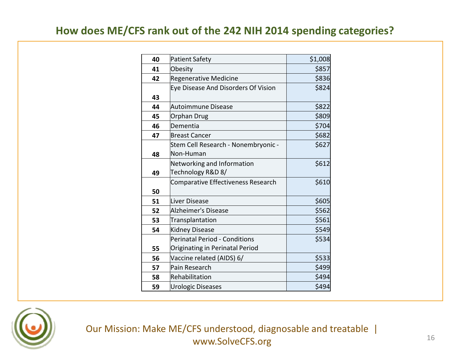| 40 | <b>Patient Safety</b>               | \$1,008 |
|----|-------------------------------------|---------|
| 41 | Obesity                             | \$857   |
| 42 | <b>Regenerative Medicine</b>        | \$836   |
|    | Eye Disease And Disorders Of Vision | \$824   |
| 43 |                                     |         |
| 44 | Autoimmune Disease                  | \$822   |
| 45 | Orphan Drug                         | \$809   |
| 46 | Dementia                            | \$704   |
| 47 | <b>Breast Cancer</b>                | \$682   |
|    | Stem Cell Research - Nonembryonic - | \$627   |
| 48 | Non-Human                           |         |
|    | Networking and Information          | \$612   |
| 49 | Technology R&D 8/                   |         |
|    | Comparative Effectiveness Research  | \$610   |
| 50 |                                     |         |
| 51 | Liver Disease                       | \$605   |
| 52 | Alzheimer's Disease                 | \$562   |
| 53 | Transplantation                     | \$561   |
| 54 | <b>Kidney Disease</b>               | \$549   |
|    | Perinatal Period - Conditions       | \$534   |
| 55 | Originating in Perinatal Period     |         |
| 56 | Vaccine related (AIDS) 6/           | \$533   |
| 57 | Pain Research                       | \$499   |
| 58 | Rehabilitation                      | \$494   |
| 59 | <b>Urologic Diseases</b>            | \$494   |

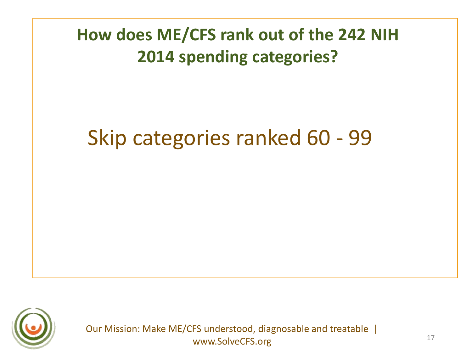# Skip categories ranked 60 - 99

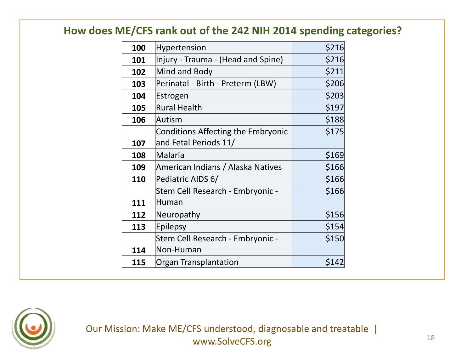| 100 | Hypertension                              | \$216 |
|-----|-------------------------------------------|-------|
| 101 | Injury - Trauma - (Head and Spine)        | \$216 |
| 102 | Mind and Body                             | \$211 |
| 103 | Perinatal - Birth - Preterm (LBW)         | \$206 |
| 104 | Estrogen                                  | \$203 |
| 105 | <b>Rural Health</b>                       | \$197 |
| 106 | Autism                                    | \$188 |
|     | <b>Conditions Affecting the Embryonic</b> | \$175 |
| 107 | and Fetal Periods 11/                     |       |
| 108 | <b>Malaria</b>                            | \$169 |
| 109 | American Indians / Alaska Natives         | \$166 |
| 110 | Pediatric AIDS 6/                         | \$166 |
|     | Stem Cell Research - Embryonic -          | \$166 |
| 111 | Human                                     |       |
| 112 | Neuropathy                                | \$156 |
| 113 | Epilepsy                                  | \$154 |
|     | Stem Cell Research - Embryonic -          | \$150 |
| 114 | Non-Human                                 |       |
| 115 | Organ Transplantation                     | \$142 |
|     |                                           |       |

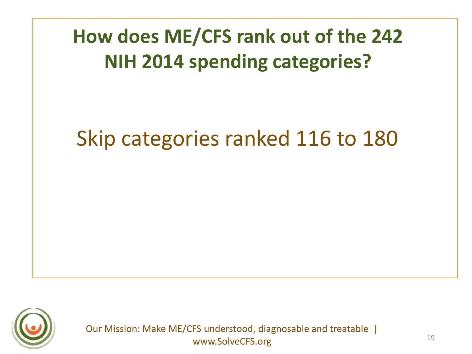# Skip categories ranked 116 to 180

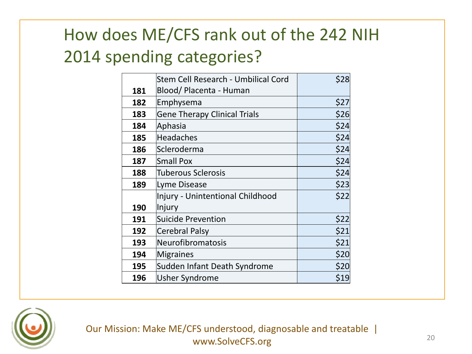|     | Stem Cell Research - Umbilical Cord | \$28 |
|-----|-------------------------------------|------|
| 181 | Blood/ Placenta - Human             |      |
| 182 | Emphysema                           | \$27 |
| 183 | <b>Gene Therapy Clinical Trials</b> | \$26 |
| 184 | Aphasia                             | \$24 |
| 185 | <b>Headaches</b>                    | \$24 |
| 186 | Scleroderma                         | \$24 |
| 187 | <b>Small Pox</b>                    | \$24 |
| 188 | <b>Tuberous Sclerosis</b>           | \$24 |
| 189 | Lyme Disease                        | \$23 |
|     | Injury - Unintentional Childhood    | \$22 |
| 190 | Injury                              |      |
| 191 | <b>Suicide Prevention</b>           | \$22 |
| 192 | Cerebral Palsy                      | \$21 |
| 193 | Neurofibromatosis                   | \$21 |
| 194 | <b>Migraines</b>                    | \$20 |
| 195 | Sudden Infant Death Syndrome        | \$20 |
| 196 | <b>Usher Syndrome</b>               | \$19 |

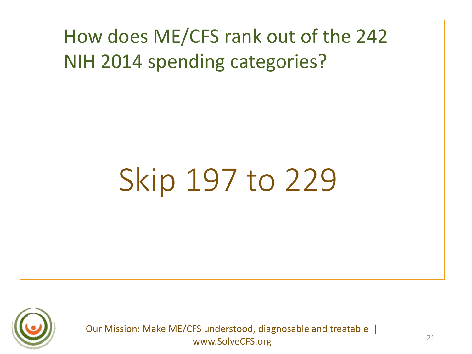# Skip 197 to 229

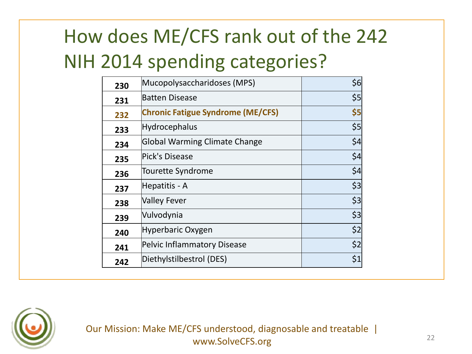| 230 | Mucopolysaccharidoses (MPS)              | \$6 |
|-----|------------------------------------------|-----|
| 231 | <b>Batten Disease</b>                    | \$5 |
| 232 | <b>Chronic Fatigue Syndrome (ME/CFS)</b> | \$5 |
| 233 | <b>Hydrocephalus</b>                     | \$5 |
| 234 | Global Warming Climate Change            | \$4 |
| 235 | Pick's Disease                           | \$4 |
| 236 | <b>Tourette Syndrome</b>                 | \$4 |
| 237 | Hepatitis - A                            | \$3 |
| 238 | <b>Valley Fever</b>                      | \$3 |
| 239 | Vulvodynia                               | \$3 |
| 240 | Hyperbaric Oxygen                        | \$2 |
| 241 | Pelvic Inflammatory Disease              | \$2 |
| 242 | Diethylstilbestrol (DES)                 | \$1 |

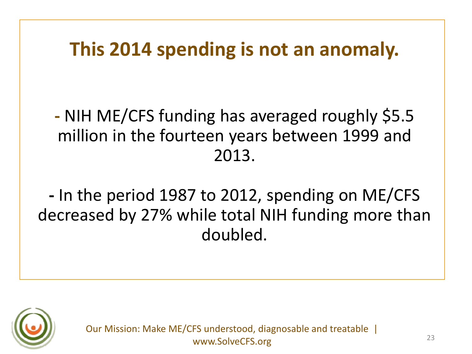## **This 2014 spending is not an anomaly.**

**-** NIH ME/CFS funding has averaged roughly \$5.5 million in the fourteen years between 1999 and 2013.

**-** In the period 1987 to 2012, spending on ME/CFS decreased by 27% while total NIH funding more than doubled.

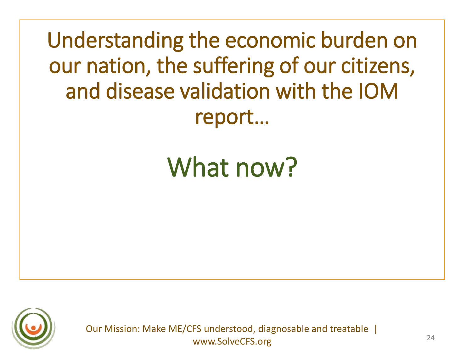Understanding the economic burden on our nation, the suffering of our citizens, and disease validation with the IOM report…

# What now?

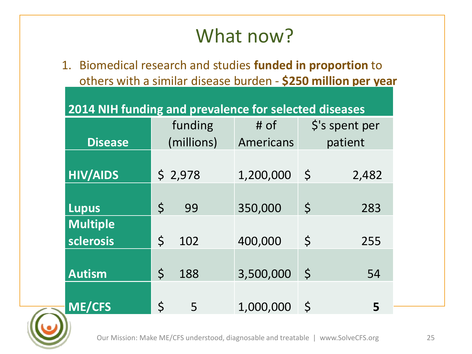# What now?

1. Biomedical research and studies **funded in proportion** to others with a similar disease burden - **\$250 million per year**

| 2014 NIH funding and prevalence for selected diseases |  |  |  |
|-------------------------------------------------------|--|--|--|
|-------------------------------------------------------|--|--|--|

|                                     | funding             | $#$ of    | \$'s spent per     |
|-------------------------------------|---------------------|-----------|--------------------|
| <b>Disease</b>                      | (millions)          | Americans | patient            |
| <b>HIV/AIDS</b>                     | \$2,978             | 1,200,000 | \$<br>2,482        |
| <b>Lupus</b>                        | $\mathsf{S}$<br>99  | 350,000   | $\varsigma$<br>283 |
| <b>Multiple</b><br><b>sclerosis</b> | $\mathsf{S}$<br>102 | 400,000   | \$<br>255          |
| <b>Autism</b>                       | $\varsigma$<br>188  | 3,500,000 | $\zeta$<br>54      |
| <b>ME/CFS</b>                       | $\zeta$<br>5        | 1,000,000 | $\mathsf{S}$<br>5  |

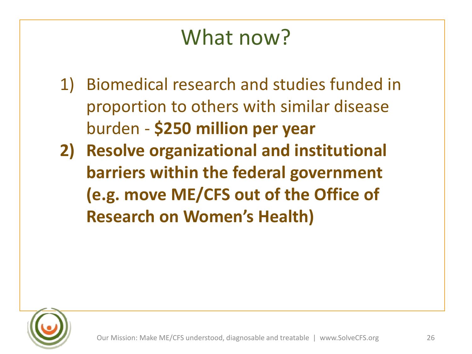# What now?

- 1) Biomedical research and studies funded in proportion to others with similar disease burden - **\$250 million per year**
- **2) Resolve organizational and institutional barriers within the federal government (e.g. move ME/CFS out of the Office of Research on Women's Health)**

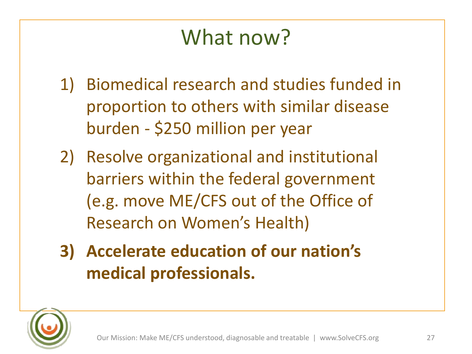# What now?

- 1) Biomedical research and studies funded in proportion to others with similar disease burden - \$250 million per year
- 2) Resolve organizational and institutional barriers within the federal government (e.g. move ME/CFS out of the Office of Research on Women's Health)
- **3) Accelerate education of our nation's medical professionals.**